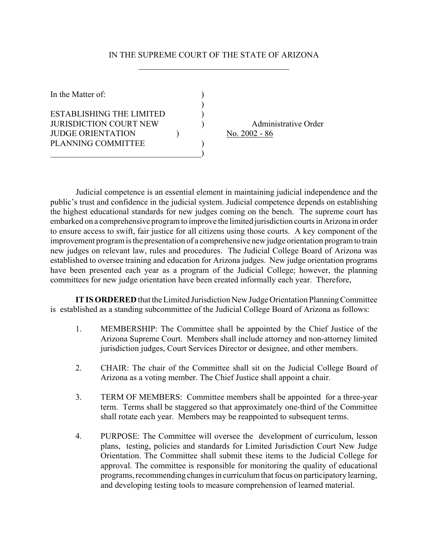## IN THE SUPREME COURT OF THE STATE OF ARIZONA

| In the Matter of:                                                                                           |  |                                         |
|-------------------------------------------------------------------------------------------------------------|--|-----------------------------------------|
| ESTABLISHING THE LIMITED<br><b>JURISDICTION COURT NEW</b><br><b>JUDGE ORIENTATION</b><br>PLANNING COMMITTEE |  | Administrative Order<br>No. $2002 - 86$ |

 Judicial competence is an essential element in maintaining judicial independence and the public's trust and confidence in the judicial system. Judicial competence depends on establishing the highest educational standards for new judges coming on the bench. The supreme court has embarked on a comprehensive program to improve the limited jurisdiction courts in Arizona in order to ensure access to swift, fair justice for all citizens using those courts. A key component of the improvement program is the presentation of a comprehensive new judge orientation program to train new judges on relevant law, rules and procedures. The Judicial College Board of Arizona was established to oversee training and education for Arizona judges. New judge orientation programs have been presented each year as a program of the Judicial College; however, the planning committees for new judge orientation have been created informally each year. Therefore,

**IT IS ORDERED** that the Limited Jurisdiction New Judge Orientation Planning Committee is established as a standing subcommittee of the Judicial College Board of Arizona as follows:

- 1. MEMBERSHIP: The Committee shall be appointed by the Chief Justice of the Arizona Supreme Court. Members shall include attorney and non-attorney limited jurisdiction judges, Court Services Director or designee, and other members.
- 2. CHAIR: The chair of the Committee shall sit on the Judicial College Board of Arizona as a voting member. The Chief Justice shall appoint a chair.
- 3. TERM OF MEMBERS: Committee members shall be appointed for a three-year term. Terms shall be staggered so that approximately one-third of the Committee shall rotate each year. Members may be reappointed to subsequent terms.
- 4. PURPOSE: The Committee will oversee the development of curriculum, lesson plans, testing, policies and standards for Limited Jurisdiction Court New Judge Orientation. The Committee shall submit these items to the Judicial College for approval. The committee is responsible for monitoring the quality of educational programs, recommending changes in curriculum that focus on participatory learning, and developing testing tools to measure comprehension of learned material.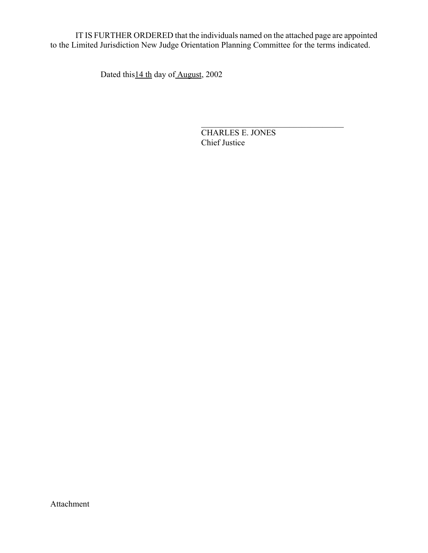IT IS FURTHER ORDERED that the individuals named on the attached page are appointed to the Limited Jurisdiction New Judge Orientation Planning Committee for the terms indicated.

 $\mathcal{L}_\text{max}$  and  $\mathcal{L}_\text{max}$  and  $\mathcal{L}_\text{max}$  and  $\mathcal{L}_\text{max}$  and  $\mathcal{L}_\text{max}$  and  $\mathcal{L}_\text{max}$ 

Dated this 14 th day of August, 2002

CHARLES E. JONES Chief Justice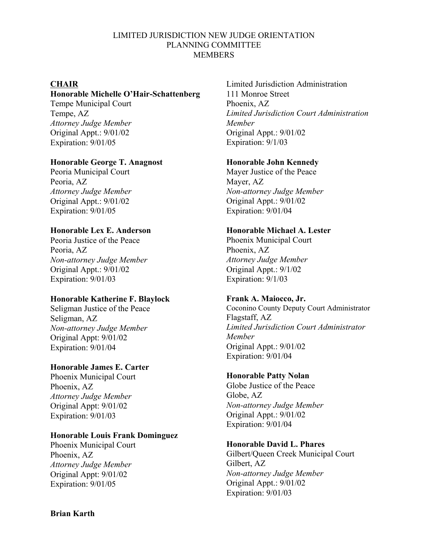#### LIMITED JURISDICTION NEW JUDGE ORIENTATION PLANNING COMMITTEE **MEMBERS**

### **CHAIR**

#### **Honorable Michelle O'Hair-Schattenberg**

Tempe Municipal Court Tempe, AZ *Attorney Judge Member* Original Appt.: 9/01/02 Expiration: 9/01/05

### **Honorable George T. Anagnost**

Peoria Municipal Court Peoria, AZ *Attorney Judge Member* Original Appt.: 9/01/02 Expiration: 9/01/05

### **Honorable Lex E. Anderson**

Peoria Justice of the Peace Peoria, AZ *Non-attorney Judge Member* Original Appt.: 9/01/02 Expiration: 9/01/03

### **Honorable Katherine F. Blaylock**

Seligman Justice of the Peace Seligman, AZ *Non-attorney Judge Member* Original Appt: 9/01/02 Expiration: 9/01/04

### **Honorable James E. Carter**

Phoenix Municipal Court Phoenix, AZ *Attorney Judge Member* Original Appt: 9/01/02 Expiration: 9/01/03

### **Honorable Louis Frank Dominguez**

Phoenix Municipal Court Phoenix, AZ *Attorney Judge Member* Original Appt: 9/01/02 Expiration: 9/01/05

Limited Jurisdiction Administration 111 Monroe Street Phoenix, AZ *Limited Jurisdiction Court Administration Member* Original Appt.: 9/01/02 Expiration: 9/1/03

## **Honorable John Kennedy**

Mayer Justice of the Peace Mayer, AZ *Non-attorney Judge Member* Original Appt.: 9/01/02 Expiration: 9/01/04

## **Honorable Michael A. Lester**

Phoenix Municipal Court Phoenix, AZ *Attorney Judge Member* Original Appt.: 9/1/02 Expiration: 9/1/03

### **Frank A. Maiocco, Jr.**

Coconino County Deputy Court Administrator Flagstaff, AZ *Limited Jurisdiction Court Administrator Member* Original Appt.: 9/01/02 Expiration: 9/01/04

### **Honorable Patty Nolan**

Globe Justice of the Peace Globe, AZ *Non-attorney Judge Member* Original Appt.: 9/01/02 Expiration: 9/01/04

# **Honorable David L. Phares**

Gilbert/Queen Creek Municipal Court Gilbert, AZ *Non-attorney Judge Member* Original Appt.: 9/01/02 Expiration: 9/01/03